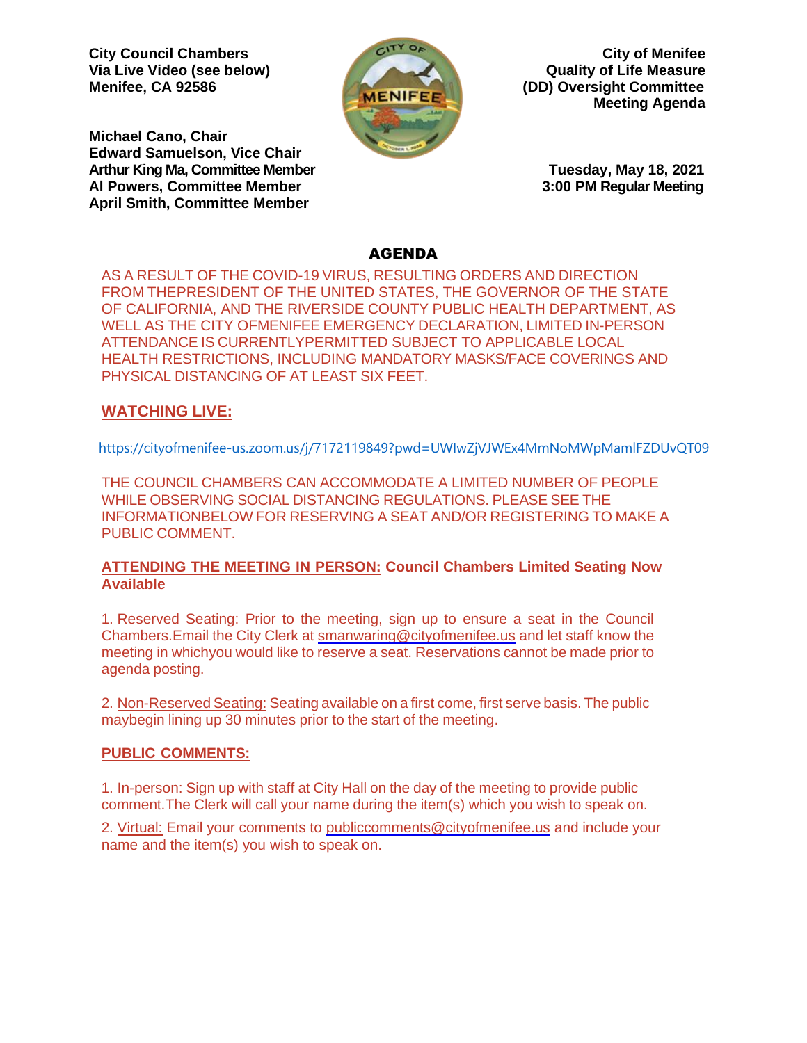**City Council Chambers City of Menifee Via Live Video (see below) Quality of Life Measure**



**Menifee, CA 92586 (DD) Oversight Committee Meeting Agenda**

**Michael Cano, Chair Edward Samuelson, Vice Chair Arthur King Ma, Committee Member Tuesday, May 18, 2021 Al Powers, Committee Member 3:00 PM Regular Meeting April Smith, Committee Member**

## AGENDA

AS A RESULT OF THE COVID-19 VIRUS, RESULTING ORDERS AND DIRECTION FROM THEPRESIDENT OF THE UNITED STATES, THE GOVERNOR OF THE STATE OF CALIFORNIA, AND THE RIVERSIDE COUNTY PUBLIC HEALTH DEPARTMENT, AS WELL AS THE CITY OFMENIFEE EMERGENCY DECLARATION, LIMITED IN-PERSON ATTENDANCE IS CURRENTLYPERMITTED SUBJECT TO APPLICABLE LOCAL HEALTH RESTRICTIONS, INCLUDING MANDATORY MASKS/FACE COVERINGS AND PHYSICAL DISTANCING OF AT LEAST SIX FEET.

## **WATCHING LIVE:**

<https://cityofmenifee-us.zoom.us/j/7172119849?pwd=UWIwZjVJWEx4MmNoMWpMamlFZDUvQT09>

THE COUNCIL CHAMBERS CAN ACCOMMODATE A LIMITED NUMBER OF PEOPLE WHILE OBSERVING SOCIAL DISTANCING REGULATIONS. PLEASE SEE THE INFORMATIONBELOW FOR RESERVING A SEAT AND/OR REGISTERING TO MAKE A PUBLIC COMMENT.

## **ATTENDING THE MEETING IN PERSON: Council Chambers Limited Seating Now Available**

1. Reserved Seating: Prior to the meeting, sign up to ensure a seat in the Council Chambers.Email the City Clerk at [smanwaring@cityofmenifee.us](mailto:smanwaring@cityofmenifee.us) and let staff know the meeting in whichyou would like to reserve a seat. Reservations cannot be made prior to agenda posting.

2. Non-Reserved Seating: Seating available on a first come, first serve basis. The public maybegin lining up 30 minutes prior to the start of the meeting.

## **PUBLIC COMMENTS:**

1. In-person: Sign up with staff at City Hall on the day of the meeting to provide public comment.The Clerk will call your name during the item(s) which you wish to speak on.

2. Virtual: Email your comments to [publiccomments@cityofmenifee.us](mailto:publiccomments@cityofmenifee.us) and include your name and the item(s) you wish to speak on.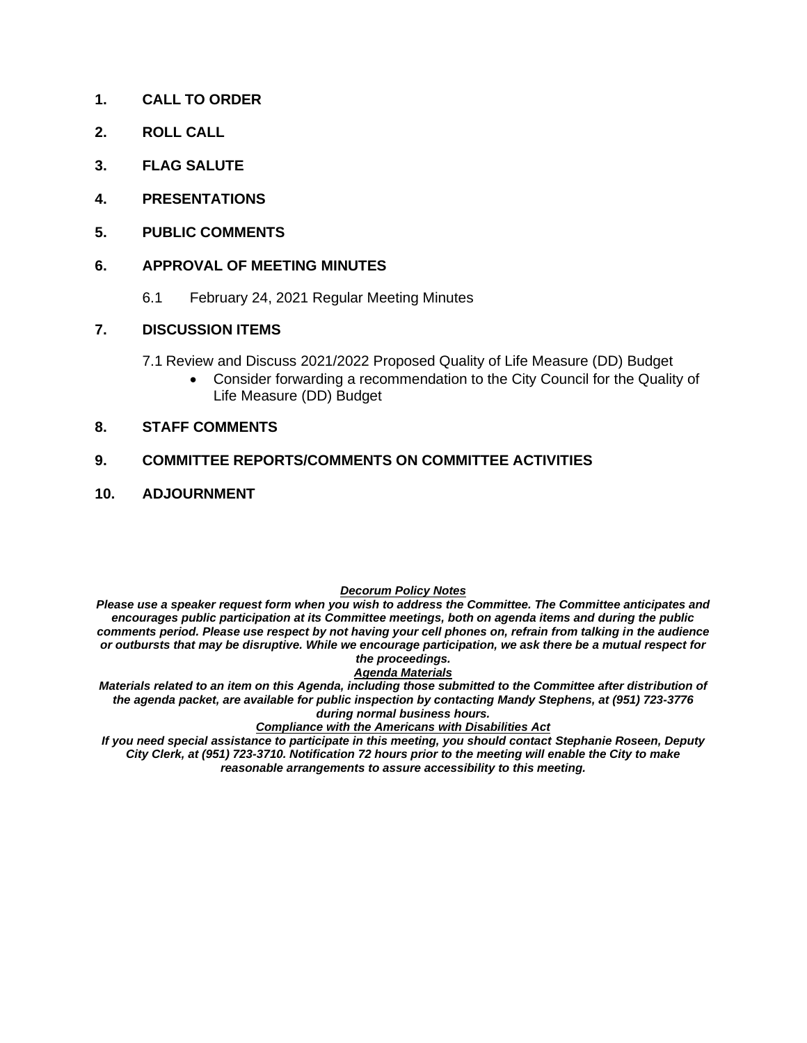- **1. CALL TO ORDER**
- **2. ROLL CALL**
- **3. FLAG SALUTE**
- **4. PRESENTATIONS**
- **5. PUBLIC COMMENTS**

#### **6. APPROVAL OF MEETING MINUTES**

6.1 February 24, 2021 Regular Meeting Minutes

#### **7. DISCUSSION ITEMS**

- 7.1 Review and Discuss 2021/2022 Proposed Quality of Life Measure (DD) Budget
	- Consider forwarding a recommendation to the City Council for the Quality of Life Measure (DD) Budget

#### **8. STAFF COMMENTS**

#### **9. COMMITTEE REPORTS/COMMENTS ON COMMITTEE ACTIVITIES**

#### **10. ADJOURNMENT**

#### *Decorum Policy Notes*

*Please use a speaker request form when you wish to address the Committee. The Committee anticipates and encourages public participation at its Committee meetings, both on agenda items and during the public comments period. Please use respect by not having your cell phones on, refrain from talking in the audience or outbursts that may be disruptive. While we encourage participation, we ask there be a mutual respect for the proceedings.*

#### *Agenda Materials*

*Materials related to an item on this Agenda, including those submitted to the Committee after distribution of the agenda packet, are available for public inspection by contacting Mandy Stephens, at (951) 723-3776 during normal business hours.* 

#### *Compliance with the Americans with Disabilities Act*

*If you need special assistance to participate in this meeting, you should contact Stephanie Roseen, Deputy City Clerk, at (951) 723-3710. Notification 72 hours prior to the meeting will enable the City to make reasonable arrangements to assure accessibility to this meeting.*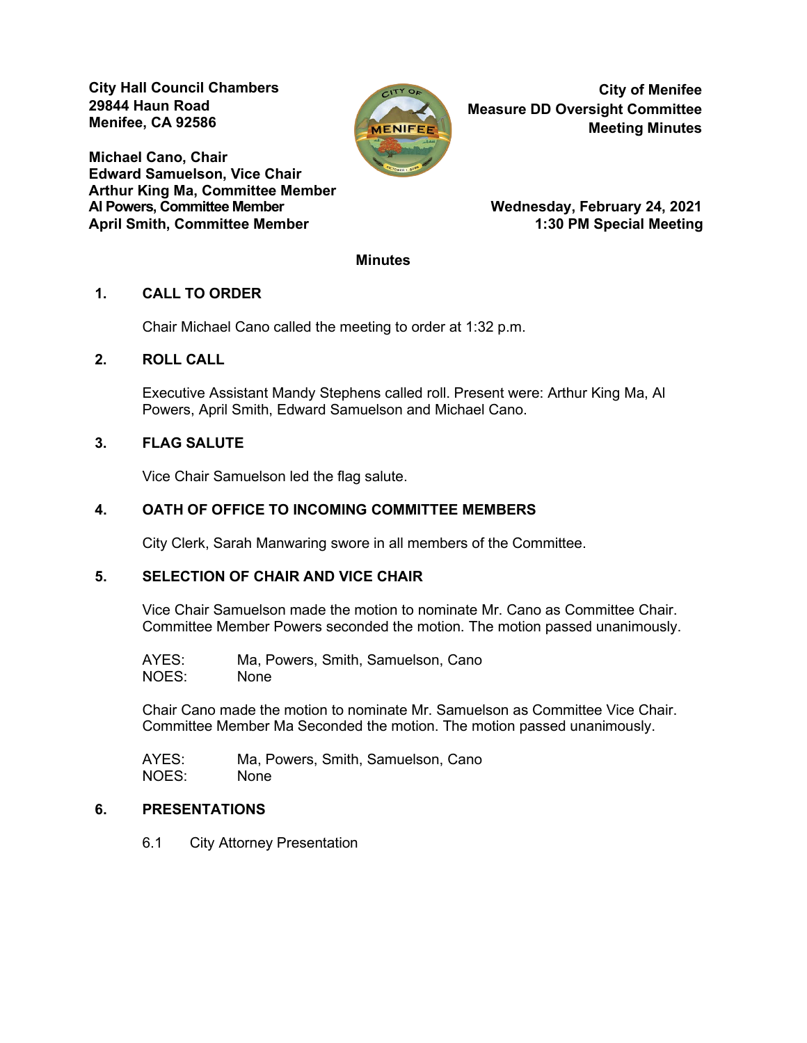**City Hall Council Chambers 29844 Haun Road Menifee, CA 92586** 

**Michael Cano, Chair Edward Samuelson, Vice Chair Arthur King Ma, Committee Member** April Smith, Committee Member 1:30 PM Special Meeting



**City of Menifee Measure DD Oversight Committee Meeting Minutes**

**Wednesday, February 24, 2021** 

#### **Minutes**

#### **1. CALL TO ORDER**

Chair Michael Cano called the meeting to order at 1:32 p.m.

#### **2. ROLL CALL**

Executive Assistant Mandy Stephens called roll. Present were: Arthur King Ma, Al Powers, April Smith, Edward Samuelson and Michael Cano.

## **3. FLAG SALUTE**

Vice Chair Samuelson led the flag salute.

## **4. OATH OF OFFICE TO INCOMING COMMITTEE MEMBERS**

City Clerk, Sarah Manwaring swore in all members of the Committee.

## **5. SELECTION OF CHAIR AND VICE CHAIR**

Vice Chair Samuelson made the motion to nominate Mr. Cano as Committee Chair. Committee Member Powers seconded the motion. The motion passed unanimously.

AYES: Ma, Powers, Smith, Samuelson, Cano NOES: None

Chair Cano made the motion to nominate Mr. Samuelson as Committee Vice Chair. Committee Member Ma Seconded the motion. The motion passed unanimously.

AYES: Ma, Powers, Smith, Samuelson, Cano NOES: None

#### **6. PRESENTATIONS**

6.1 City Attorney Presentation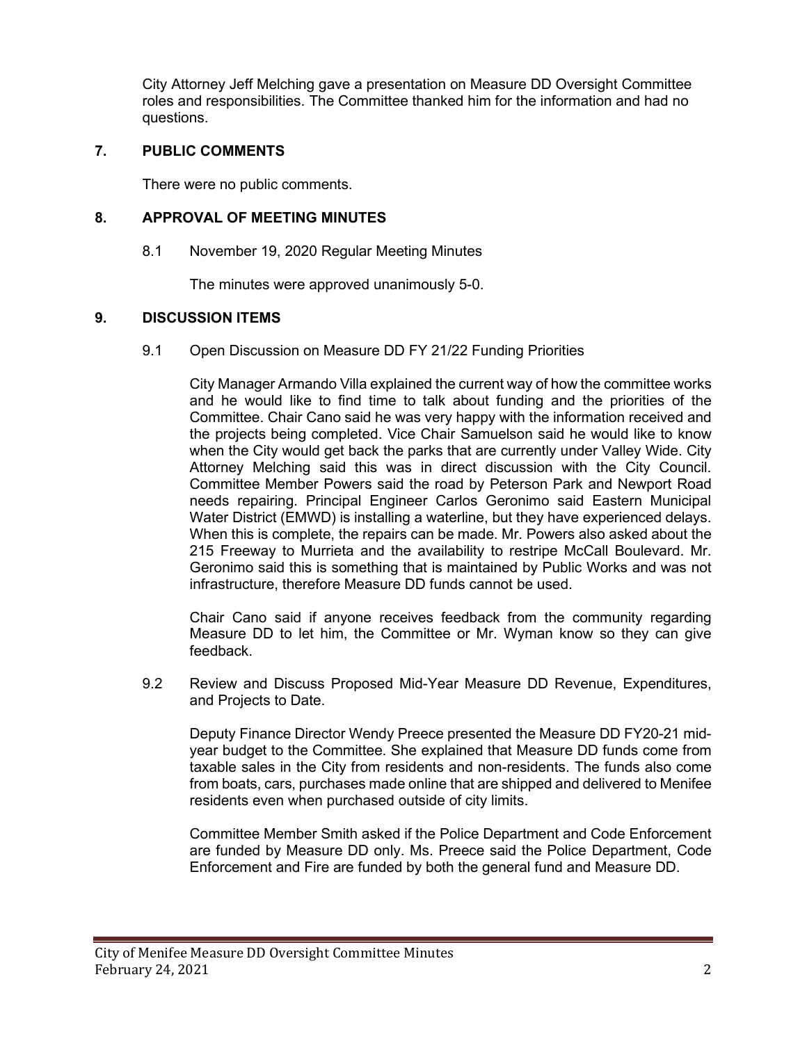City Attorney Jeff Melching gave a presentation on Measure DD Oversight Committee roles and responsibilities. The Committee thanked him for the information and had no questions.

## **7. PUBLIC COMMENTS**

There were no public comments.

## **8. APPROVAL OF MEETING MINUTES**

8.1 November 19, 2020 Regular Meeting Minutes

The minutes were approved unanimously 5-0.

## **9. DISCUSSION ITEMS**

9.1 Open Discussion on Measure DD FY 21/22 Funding Priorities

City Manager Armando Villa explained the current way of how the committee works and he would like to find time to talk about funding and the priorities of the Committee. Chair Cano said he was very happy with the information received and the projects being completed. Vice Chair Samuelson said he would like to know when the City would get back the parks that are currently under Valley Wide. City Attorney Melching said this was in direct discussion with the City Council. Committee Member Powers said the road by Peterson Park and Newport Road needs repairing. Principal Engineer Carlos Geronimo said Eastern Municipal Water District (EMWD) is installing a waterline, but they have experienced delays. When this is complete, the repairs can be made. Mr. Powers also asked about the 215 Freeway to Murrieta and the availability to restripe McCall Boulevard. Mr. Geronimo said this is something that is maintained by Public Works and was not infrastructure, therefore Measure DD funds cannot be used.

Chair Cano said if anyone receives feedback from the community regarding Measure DD to let him, the Committee or Mr. Wyman know so they can give feedback.

9.2 Review and Discuss Proposed Mid-Year Measure DD Revenue, Expenditures, and Projects to Date.

Deputy Finance Director Wendy Preece presented the Measure DD FY20-21 midyear budget to the Committee. She explained that Measure DD funds come from taxable sales in the City from residents and non-residents. The funds also come from boats, cars, purchases made online that are shipped and delivered to Menifee residents even when purchased outside of city limits.

Committee Member Smith asked if the Police Department and Code Enforcement are funded by Measure DD only. Ms. Preece said the Police Department, Code Enforcement and Fire are funded by both the general fund and Measure DD.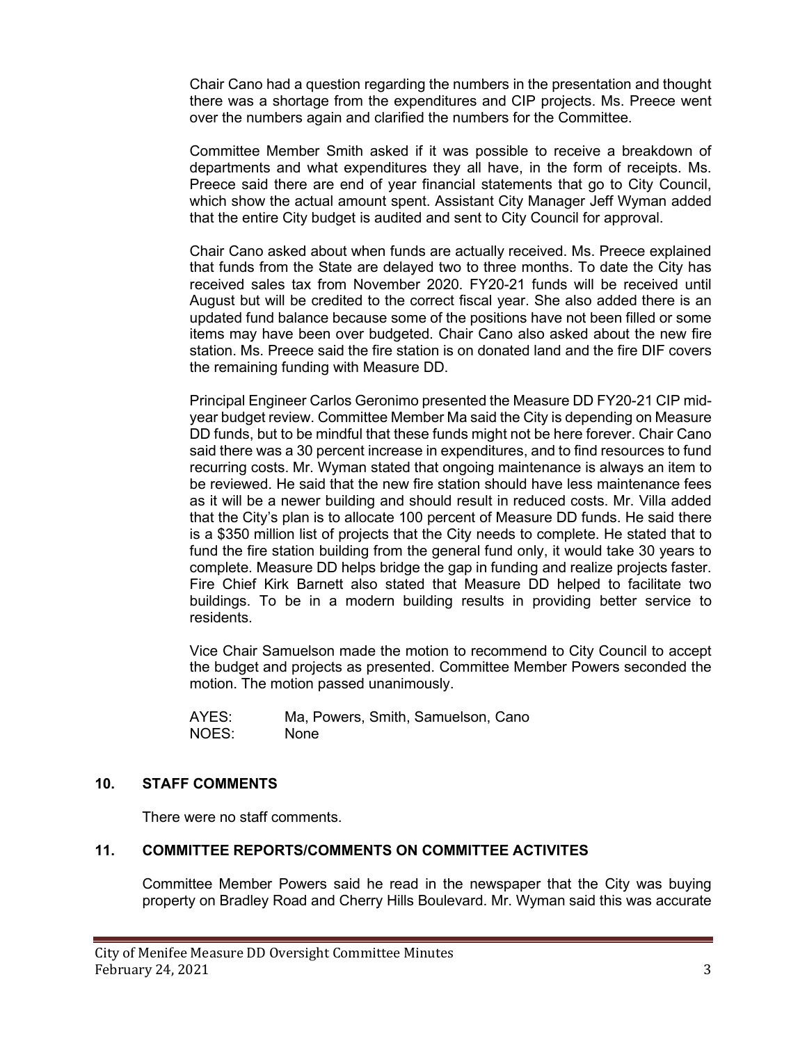Chair Cano had a question regarding the numbers in the presentation and thought there was a shortage from the expenditures and CIP projects. Ms. Preece went over the numbers again and clarified the numbers for the Committee.

Committee Member Smith asked if it was possible to receive a breakdown of departments and what expenditures they all have, in the form of receipts. Ms. Preece said there are end of year financial statements that go to City Council, which show the actual amount spent. Assistant City Manager Jeff Wyman added that the entire City budget is audited and sent to City Council for approval.

Chair Cano asked about when funds are actually received. Ms. Preece explained that funds from the State are delayed two to three months. To date the City has received sales tax from November 2020. FY20-21 funds will be received until August but will be credited to the correct fiscal year. She also added there is an updated fund balance because some of the positions have not been filled or some items may have been over budgeted. Chair Cano also asked about the new fire station. Ms. Preece said the fire station is on donated land and the fire DIF covers the remaining funding with Measure DD.

Principal Engineer Carlos Geronimo presented the Measure DD FY20-21 CIP midyear budget review. Committee Member Ma said the City is depending on Measure DD funds, but to be mindful that these funds might not be here forever. Chair Cano said there was a 30 percent increase in expenditures, and to find resources to fund recurring costs. Mr. Wyman stated that ongoing maintenance is always an item to be reviewed. He said that the new fire station should have less maintenance fees as it will be a newer building and should result in reduced costs. Mr. Villa added that the City's plan is to allocate 100 percent of Measure DD funds. He said there is a \$350 million list of projects that the City needs to complete. He stated that to fund the fire station building from the general fund only, it would take 30 years to complete. Measure DD helps bridge the gap in funding and realize projects faster. Fire Chief Kirk Barnett also stated that Measure DD helped to facilitate two buildings. To be in a modern building results in providing better service to residents.

Vice Chair Samuelson made the motion to recommend to City Council to accept the budget and projects as presented. Committee Member Powers seconded the motion. The motion passed unanimously.

AYES: Ma, Powers, Smith, Samuelson, Cano NOES: None

## **10. STAFF COMMENTS**

There were no staff comments.

## **11. COMMITTEE REPORTS/COMMENTS ON COMMITTEE ACTIVITES**

Committee Member Powers said he read in the newspaper that the City was buying property on Bradley Road and Cherry Hills Boulevard. Mr. Wyman said this was accurate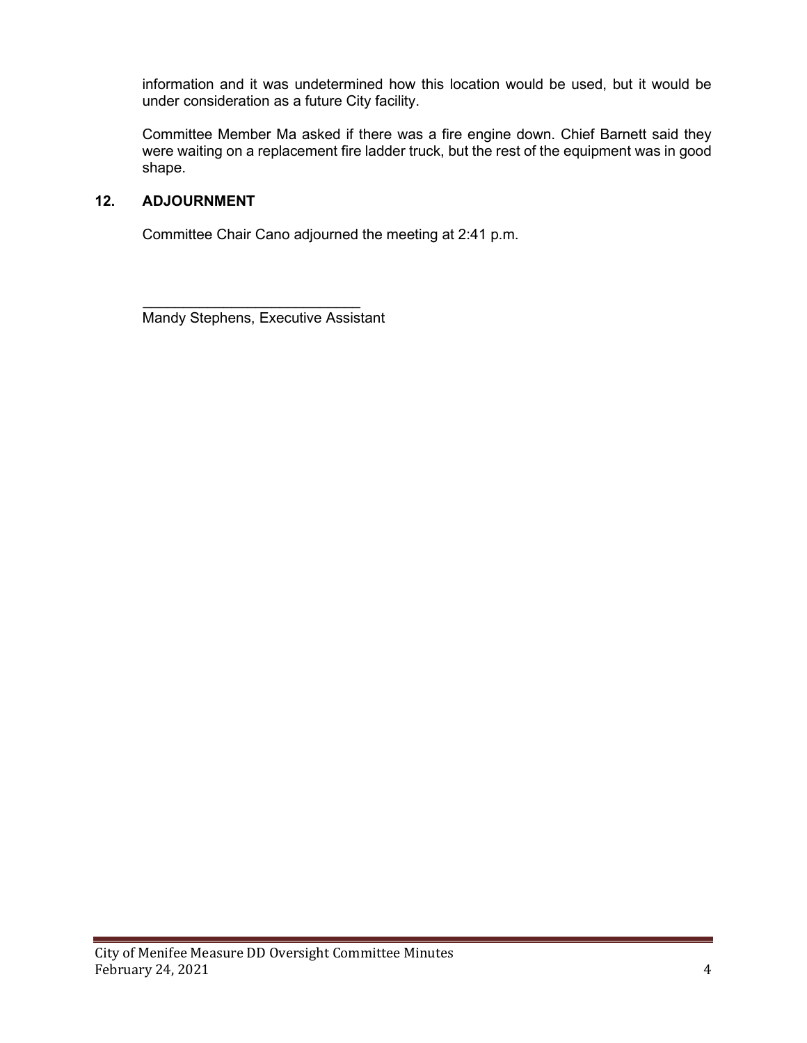information and it was undetermined how this location would be used, but it would be under consideration as a future City facility.

Committee Member Ma asked if there was a fire engine down. Chief Barnett said they were waiting on a replacement fire ladder truck, but the rest of the equipment was in good shape.

## **12. ADJOURNMENT**

Committee Chair Cano adjourned the meeting at 2:41 p.m.

 $\overline{\phantom{a}}$  , which is a set of the set of the set of the set of the set of the set of the set of the set of the set of the set of the set of the set of the set of the set of the set of the set of the set of the set of th Mandy Stephens, Executive Assistant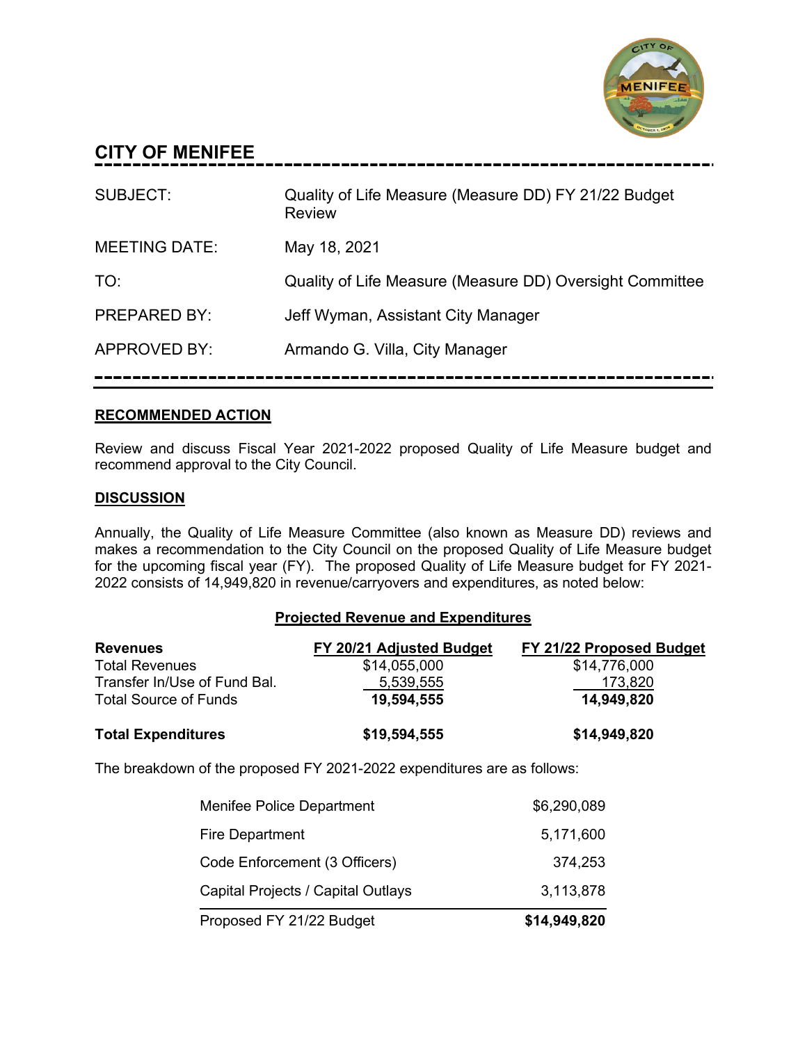

## **CITY OF MENIFEE**

| SUBJECT:             | Quality of Life Measure (Measure DD) FY 21/22 Budget<br><b>Review</b> |
|----------------------|-----------------------------------------------------------------------|
| <b>MEETING DATE:</b> | May 18, 2021                                                          |
| TO:                  | Quality of Life Measure (Measure DD) Oversight Committee              |
| <b>PREPARED BY:</b>  | Jeff Wyman, Assistant City Manager                                    |
| <b>APPROVED BY:</b>  | Armando G. Villa, City Manager                                        |
|                      |                                                                       |

## **RECOMMENDED ACTION**

Review and discuss Fiscal Year 2021-2022 proposed Quality of Life Measure budget and recommend approval to the City Council.

## **DISCUSSION**

Annually, the Quality of Life Measure Committee (also known as Measure DD) reviews and makes a recommendation to the City Council on the proposed Quality of Life Measure budget for the upcoming fiscal year (FY). The proposed Quality of Life Measure budget for FY 2021- 2022 consists of 14,949,820 in revenue/carryovers and expenditures, as noted below:

## **Projected Revenue and Expenditures**

| <b>Revenues</b>              | FY 20/21 Adjusted Budget | FY 21/22 Proposed Budget |
|------------------------------|--------------------------|--------------------------|
| <b>Total Revenues</b>        | \$14,055,000             | \$14,776,000             |
| Transfer In/Use of Fund Bal. | 5,539,555                | 173,820                  |
| <b>Total Source of Funds</b> | 19,594,555               | 14,949,820               |
| <b>Total Expenditures</b>    | \$19,594,555             | \$14,949,820             |

The breakdown of the proposed FY 2021-2022 expenditures are as follows:

| Proposed FY 21/22 Budget           | \$14,949,820 |
|------------------------------------|--------------|
| Capital Projects / Capital Outlays | 3,113,878    |
| Code Enforcement (3 Officers)      | 374,253      |
| <b>Fire Department</b>             | 5,171,600    |
| Menifee Police Department          | \$6,290,089  |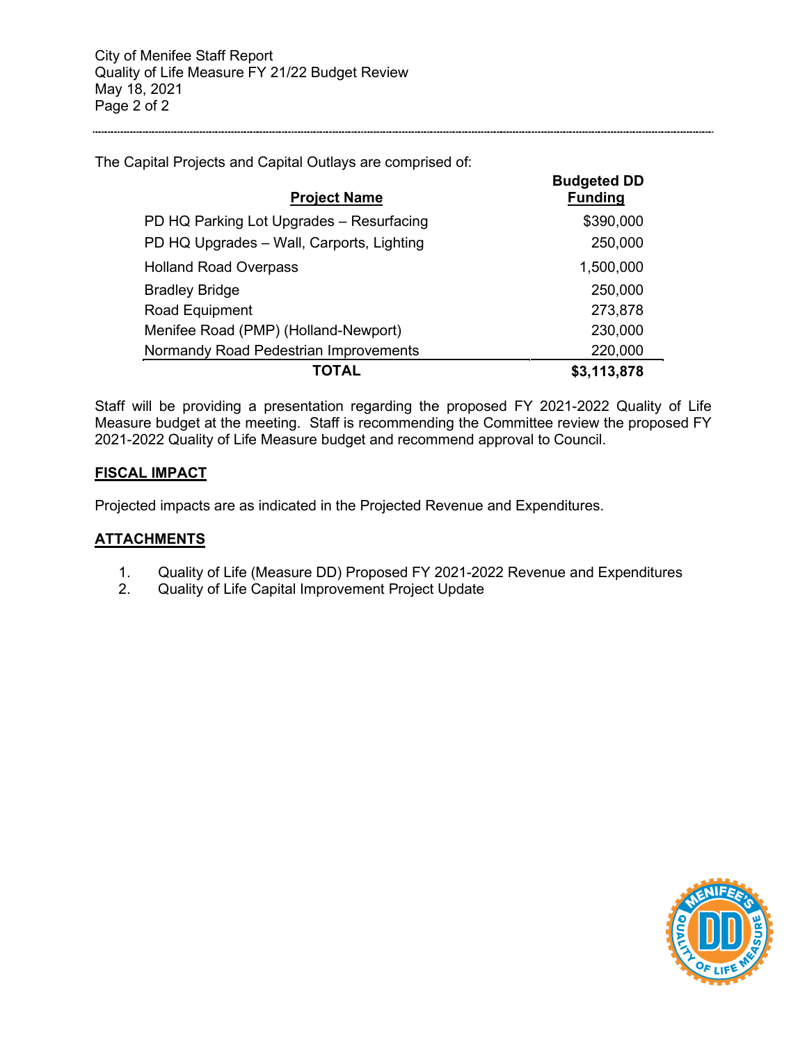The Capital Projects and Capital Outlays are comprised of:

| <b>Project Name</b>                       | <b>Budgeted DD</b><br><b>Funding</b> |
|-------------------------------------------|--------------------------------------|
| PD HQ Parking Lot Upgrades - Resurfacing  | \$390,000                            |
| PD HQ Upgrades - Wall, Carports, Lighting | 250,000                              |
| <b>Holland Road Overpass</b>              | 1,500,000                            |
| <b>Bradley Bridge</b>                     | 250,000                              |
| Road Equipment                            | 273,878                              |
| Menifee Road (PMP) (Holland-Newport)      | 230,000                              |
| Normandy Road Pedestrian Improvements     | 220,000                              |
| TOTAL                                     | \$3,113,878                          |

Staff will be providing a presentation regarding the proposed FY 2021-2022 Quality of Life Measure budget at the meeting. Staff is recommending the Committee review the proposed FY 2021-2022 Quality of Life Measure budget and recommend approval to Council.

## **FISCAL IMPACT**

Projected impacts are as indicated in the Projected Revenue and Expenditures.

## **ATTACHMENTS**

- 1. Quality of Life (Measure DD) Proposed FY 2021-2022 Revenue and Expenditures
- 2. Quality of Life Capital Improvement Project Update

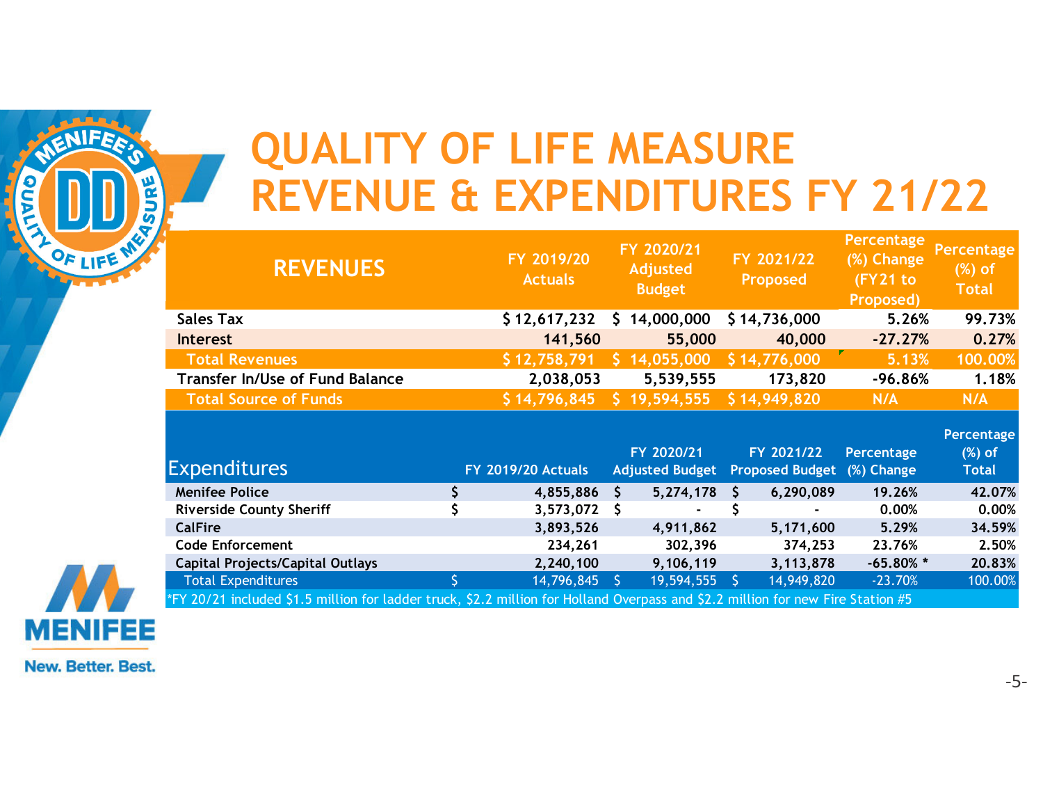# **QUALITY OF LIFE MEASURE REVENUE & EXPENDITURES FY 21/22**

| 꾠<br>Э<br>n | <b>REVENUE &amp; EXPENDITURES FY 21/22</b>                                                                                      |              |                              |     |                                                |              |                                      |                                                   |                                        |
|-------------|---------------------------------------------------------------------------------------------------------------------------------|--------------|------------------------------|-----|------------------------------------------------|--------------|--------------------------------------|---------------------------------------------------|----------------------------------------|
| OF LIFE ME  | <b>REVENUES</b>                                                                                                                 |              | FY 2019/20<br><b>Actuals</b> |     | FY 2020/21<br><b>Adjusted</b><br><b>Budget</b> |              | FY 2021/22<br><b>Proposed</b>        | Percentage<br>(%) Change<br>(FY21 to<br>Proposed) | Percentage<br>$(%)$ of<br><b>Total</b> |
|             | <b>Sales Tax</b>                                                                                                                |              | \$12,617,232                 |     | 14,000,000                                     |              | \$14,736,000                         | 5.26%                                             | 99.73%                                 |
|             | <b>Interest</b>                                                                                                                 |              | 141,560                      |     | 55,000                                         |              | 40,000                               | $-27.27%$                                         | 0.27%                                  |
|             | <b>Total Revenues</b>                                                                                                           |              | \$12,758,791                 |     | 14,055,000                                     |              | \$14,776,000                         | 5.13%                                             | 100.00%                                |
|             | <b>Transfer In/Use of Fund Balance</b>                                                                                          |              | 2,038,053                    |     | 5,539,555                                      |              | 173,820                              | $-96.86%$                                         | 1.18%                                  |
|             | <b>Total Source of Funds</b>                                                                                                    |              | \$14,796,845                 |     | 19,594,555                                     |              | \$14,949,820                         | N/A                                               | N/A                                    |
|             | <b>Expenditures</b>                                                                                                             |              | <b>FY 2019/20 Actuals</b>    |     | FY 2020/21<br><b>Adjusted Budget</b>           |              | FY 2021/22<br><b>Proposed Budget</b> | <b>Percentage</b><br>(%) Change                   | Percentage<br>$(X)$ of<br><b>Total</b> |
|             | <b>Menifee Police</b>                                                                                                           | $\mathsf{S}$ | 4,855,886                    | S.  | 5,274,178                                      | <sub>S</sub> | 6,290,089                            | 19.26%                                            | 42.07%                                 |
|             | <b>Riverside County Sheriff</b>                                                                                                 |              | 3,573,072                    | S.  |                                                |              |                                      | 0.00%                                             | 0.00%                                  |
|             | <b>CalFire</b>                                                                                                                  |              | 3,893,526                    |     | 4,911,862                                      |              | 5,171,600                            | 5.29%                                             | 34.59%                                 |
|             | <b>Code Enforcement</b>                                                                                                         |              | 234,261                      |     | 302,396                                        |              | 374,253                              | 23.76%                                            | 2.50%                                  |
|             | <b>Capital Projects/Capital Outlays</b>                                                                                         |              | 2,240,100                    |     | 9,106,119                                      |              | 3,113,878                            | $-65.80\%$ *                                      | 20.83%                                 |
|             | <b>Total Expenditures</b>                                                                                                       |              | 14,796,845                   | -S. | 19,594,555                                     | S.           | 14,949,820                           | $-23.70%$                                         | 100.00%                                |
|             | *FY 20/21 included \$1.5 million for ladder truck, \$2.2 million for Holland Overpass and \$2.2 million for new Fire Station #5 |              |                              |     |                                                |              |                                      |                                                   |                                        |

**New. Better. Best.** 

**MENIFEE** 

dua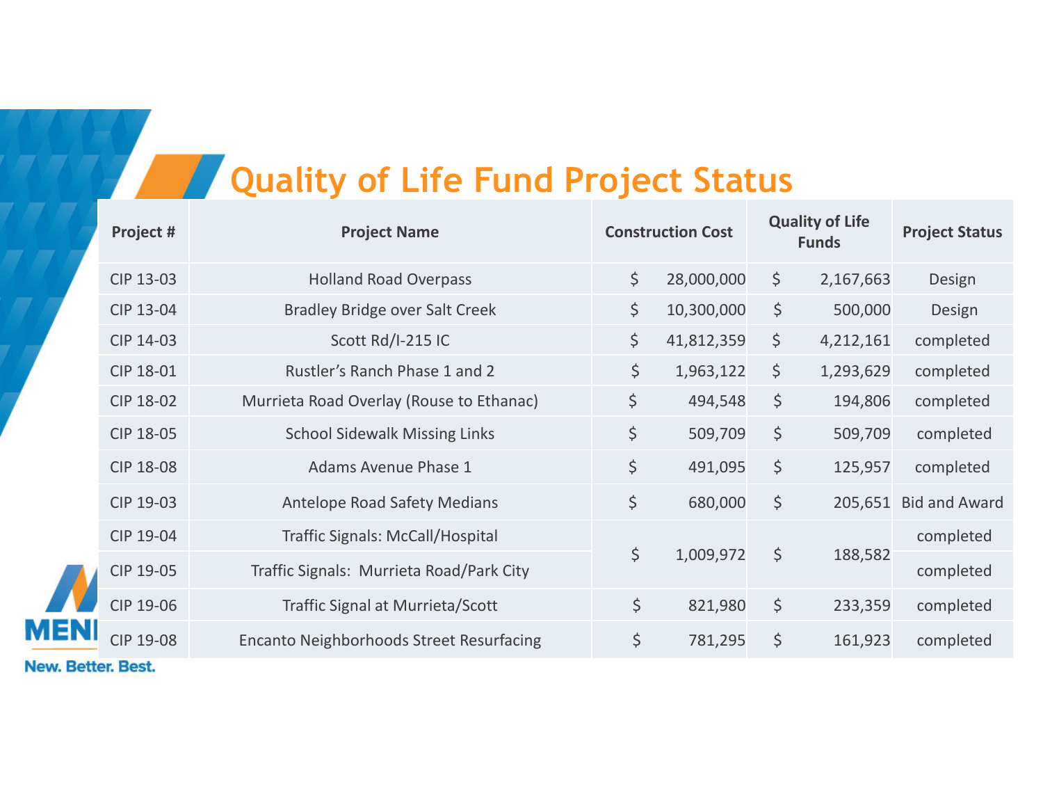## **All** *Quality of Life Fund Project Status*

|            | Project #        | <b>Project Name</b>                             | <b>Construction Cost</b> |            | <b>Quality of Life</b><br><b>Funds</b> |           | <b>Project Status</b> |  |
|------------|------------------|-------------------------------------------------|--------------------------|------------|----------------------------------------|-----------|-----------------------|--|
|            | CIP 13-03        | <b>Holland Road Overpass</b>                    | $\varsigma$              | 28,000,000 | \$                                     | 2,167,663 | Design                |  |
|            | CIP 13-04        | <b>Bradley Bridge over Salt Creek</b>           | $\varsigma$              | 10,300,000 | $\varsigma$                            | 500,000   | Design                |  |
|            | CIP 14-03        | Scott Rd/I-215 IC                               | \$                       | 41,812,359 | \$                                     | 4,212,161 | completed             |  |
|            | CIP 18-01        | Rustler's Ranch Phase 1 and 2                   | \$                       | 1,963,122  | \$                                     | 1,293,629 | completed             |  |
|            | CIP 18-02        | Murrieta Road Overlay (Rouse to Ethanac)        | \$                       | 494,548    | $\varsigma$                            | 194,806   | completed             |  |
|            | CIP 18-05        | <b>School Sidewalk Missing Links</b>            | \$                       | 509,709    | \$                                     | 509,709   | completed             |  |
|            | <b>CIP 18-08</b> | <b>Adams Avenue Phase 1</b>                     | \$                       | 491,095    | $\zeta$                                | 125,957   | completed             |  |
|            | CIP 19-03        | <b>Antelope Road Safety Medians</b>             | \$                       | 680,000    | $\varsigma$                            | 205,651   | <b>Bid and Award</b>  |  |
|            | CIP 19-04        | Traffic Signals: McCall/Hospital                |                          |            |                                        |           | completed             |  |
|            | CIP 19-05        | Traffic Signals: Murrieta Road/Park City        | \$                       | 1,009,972  | $\varsigma$                            | 188,582   | completed             |  |
|            | CIP 19-06        | Traffic Signal at Murrieta/Scott                | \$                       | 821,980    | $\zeta$                                | 233,359   | completed             |  |
| <b>MEN</b> | <b>CIP 19-08</b> | <b>Encanto Neighborhoods Street Resurfacing</b> | \$                       | 781,295    | \$                                     | 161,923   | completed             |  |
|            |                  |                                                 |                          |            |                                        |           |                       |  |

New. Better. Best.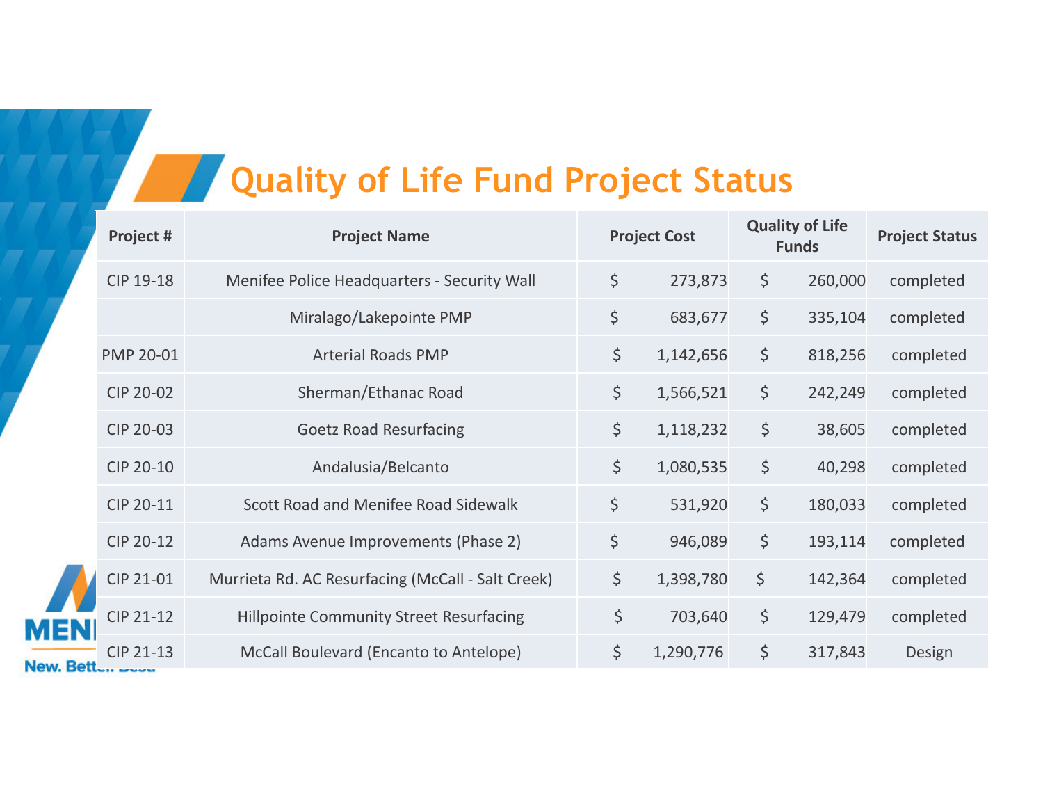# **Quality of Life Fund Project Status**

|            | Project # | <b>Project Name</b>                               | <b>Project Cost</b> |           | <b>Quality of Life</b><br><b>Funds</b> |         | <b>Project Status</b> |
|------------|-----------|---------------------------------------------------|---------------------|-----------|----------------------------------------|---------|-----------------------|
|            | CIP 19-18 | Menifee Police Headquarters - Security Wall       | \$                  | 273,873   | \$                                     | 260,000 | completed             |
|            |           | Miralago/Lakepointe PMP                           | \$                  | 683,677   | \$                                     | 335,104 | completed             |
|            | PMP 20-01 | <b>Arterial Roads PMP</b>                         | \$                  | 1,142,656 | \$                                     | 818,256 | completed             |
|            | CIP 20-02 | Sherman/Ethanac Road                              | \$                  | 1,566,521 | \$                                     | 242,249 | completed             |
|            | CIP 20-03 | <b>Goetz Road Resurfacing</b>                     | \$                  | 1,118,232 | $\zeta$                                | 38,605  | completed             |
|            | CIP 20-10 | Andalusia/Belcanto                                | \$                  | 1,080,535 | $\varsigma$                            | 40,298  | completed             |
|            | CIP 20-11 | Scott Road and Menifee Road Sidewalk              | $\zeta$             | 531,920   | $\varsigma$                            | 180,033 | completed             |
|            | CIP 20-12 | Adams Avenue Improvements (Phase 2)               | $\zeta$             | 946,089   | $\varsigma$                            | 193,114 | completed             |
|            | CIP 21-01 | Murrieta Rd. AC Resurfacing (McCall - Salt Creek) | $\zeta$             | 1,398,780 | $\zeta$                                | 142,364 | completed             |
| <b>MEN</b> | CIP 21-12 | <b>Hillpointe Community Street Resurfacing</b>    | \$                  | 703,640   | $\varsigma$                            | 129,479 | completed             |
| New Rett   | CIP 21-13 | McCall Boulevard (Encanto to Antelope)            | $\zeta$             | 1,290,776 | $\varsigma$                            | 317,843 | Design                |

New.